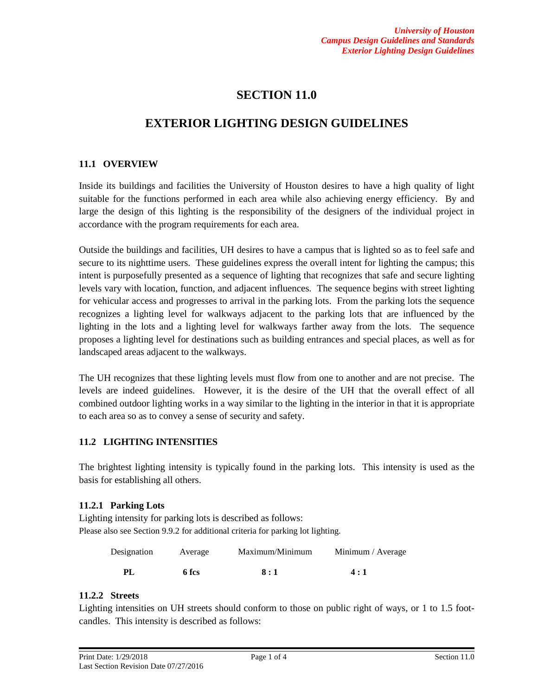# **SECTION 11.0**

# **EXTERIOR LIGHTING DESIGN GUIDELINES**

## **11.1 OVERVIEW**

Inside its buildings and facilities the University of Houston desires to have a high quality of light suitable for the functions performed in each area while also achieving energy efficiency. By and large the design of this lighting is the responsibility of the designers of the individual project in accordance with the program requirements for each area.

Outside the buildings and facilities, UH desires to have a campus that is lighted so as to feel safe and secure to its nighttime users. These guidelines express the overall intent for lighting the campus; this intent is purposefully presented as a sequence of lighting that recognizes that safe and secure lighting levels vary with location, function, and adjacent influences. The sequence begins with street lighting for vehicular access and progresses to arrival in the parking lots. From the parking lots the sequence recognizes a lighting level for walkways adjacent to the parking lots that are influenced by the lighting in the lots and a lighting level for walkways farther away from the lots. The sequence proposes a lighting level for destinations such as building entrances and special places, as well as for landscaped areas adjacent to the walkways.

The UH recognizes that these lighting levels must flow from one to another and are not precise. The levels are indeed guidelines. However, it is the desire of the UH that the overall effect of all combined outdoor lighting works in a way similar to the lighting in the interior in that it is appropriate to each area so as to convey a sense of security and safety.

# **11.2 LIGHTING INTENSITIES**

The brightest lighting intensity is typically found in the parking lots. This intensity is used as the basis for establishing all others.

## **11.2.1 Parking Lots**

Lighting intensity for parking lots is described as follows: Please also see Section 9.9.2 for additional criteria for parking lot lighting.

| Designation | Average | Maximum/Minimum | Minimum / Average |
|-------------|---------|-----------------|-------------------|
| PI          | 6 fcs   | 8:1             | 4:1               |

## **11.2.2 Streets**

Lighting intensities on UH streets should conform to those on public right of ways, or 1 to 1.5 footcandles. This intensity is described as follows: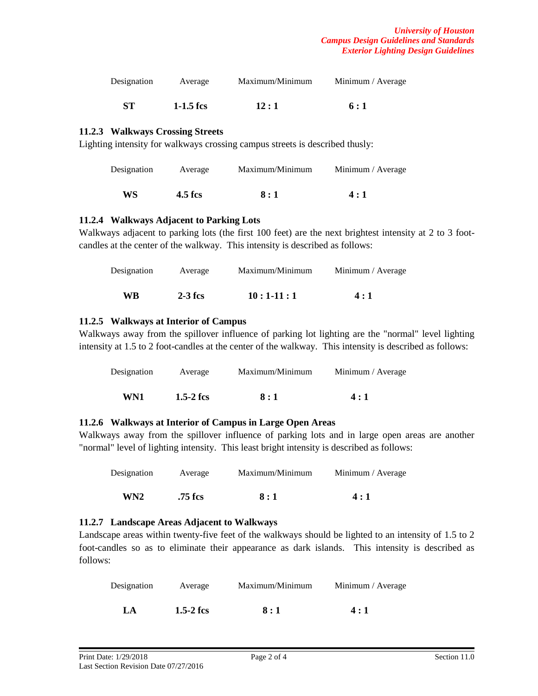| Designation | Average     | Maximum/Minimum | Minimum / Average |
|-------------|-------------|-----------------|-------------------|
| <b>ST</b>   | $1-1.5$ fcs | 12:1            | 6:1               |

#### **11.2.3 Walkways Crossing Streets**

Lighting intensity for walkways crossing campus streets is described thusly:

| Designation | Average | Maximum/Minimum | Minimum / Average |
|-------------|---------|-----------------|-------------------|
| WS          | 4.5 fcs | 8:1             | 4:1               |

#### **11.2.4 Walkways Adjacent to Parking Lots**

Walkways adjacent to parking lots (the first 100 feet) are the next brightest intensity at 2 to 3 footcandles at the center of the walkway. This intensity is described as follows:

| Designation | Average   | Maximum/Minimum | Minimum / Average |
|-------------|-----------|-----------------|-------------------|
| WR          | $2-3$ fcs | $10:1-11:1$     | 4:1               |

#### **11.2.5 Walkways at Interior of Campus**

Walkways away from the spillover influence of parking lot lighting are the "normal" level lighting intensity at 1.5 to 2 foot-candles at the center of the walkway. This intensity is described as follows:

| Designation | Average     | Maximum/Minimum | Minimum / Average |
|-------------|-------------|-----------------|-------------------|
| WN1         | $1.5-2$ fcs | 8:1             | 4:1               |

#### **11.2.6 Walkways at Interior of Campus in Large Open Areas**

Walkways away from the spillover influence of parking lots and in large open areas are another "normal" level of lighting intensity. This least bright intensity is described as follows:

| Designation     | Average | Maximum/Minimum | Minimum / Average |
|-----------------|---------|-----------------|-------------------|
| WN <sub>2</sub> | .75 fcs | 8:1             | 4:1               |

#### **11.2.7 Landscape Areas Adjacent to Walkways**

Landscape areas within twenty-five feet of the walkways should be lighted to an intensity of 1.5 to 2 foot-candles so as to eliminate their appearance as dark islands. This intensity is described as follows:

| Designation | Average     | Maximum/Minimum | Minimum / Average |
|-------------|-------------|-----------------|-------------------|
| LA          | $1.5-2$ fcs | 8:1             | 4:1               |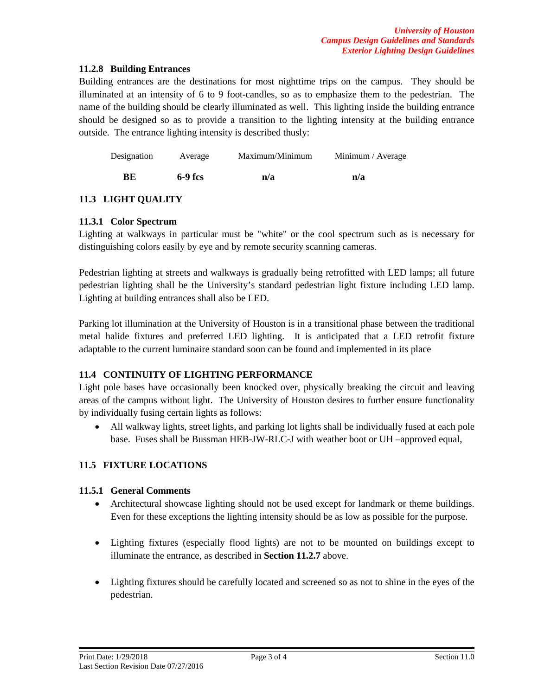### **11.2.8 Building Entrances**

Building entrances are the destinations for most nighttime trips on the campus. They should be illuminated at an intensity of 6 to 9 foot-candles, so as to emphasize them to the pedestrian. The name of the building should be clearly illuminated as well. This lighting inside the building entrance should be designed so as to provide a transition to the lighting intensity at the building entrance outside. The entrance lighting intensity is described thusly:

| Designation | Average   | Maximum/Minimum | Minimum / Average |
|-------------|-----------|-----------------|-------------------|
| RЕ          | $6-9$ fcs | n/a             | n/a               |

## **11.3 LIGHT QUALITY**

### **11.3.1 Color Spectrum**

Lighting at walkways in particular must be "white" or the cool spectrum such as is necessary for distinguishing colors easily by eye and by remote security scanning cameras.

Pedestrian lighting at streets and walkways is gradually being retrofitted with LED lamps; all future pedestrian lighting shall be the University's standard pedestrian light fixture including LED lamp. Lighting at building entrances shall also be LED.

Parking lot illumination at the University of Houston is in a transitional phase between the traditional metal halide fixtures and preferred LED lighting. It is anticipated that a LED retrofit fixture adaptable to the current luminaire standard soon can be found and implemented in its place

## **11.4 CONTINUITY OF LIGHTING PERFORMANCE**

Light pole bases have occasionally been knocked over, physically breaking the circuit and leaving areas of the campus without light. The University of Houston desires to further ensure functionality by individually fusing certain lights as follows:

• All walkway lights, street lights, and parking lot lights shall be individually fused at each pole base. Fuses shall be Bussman HEB-JW-RLC-J with weather boot or UH –approved equal,

## **11.5 FIXTURE LOCATIONS**

## **11.5.1 General Comments**

- Architectural showcase lighting should not be used except for landmark or theme buildings. Even for these exceptions the lighting intensity should be as low as possible for the purpose.
- Lighting fixtures (especially flood lights) are not to be mounted on buildings except to illuminate the entrance, as described in **Section 11.2.7** above.
- Lighting fixtures should be carefully located and screened so as not to shine in the eyes of the pedestrian.